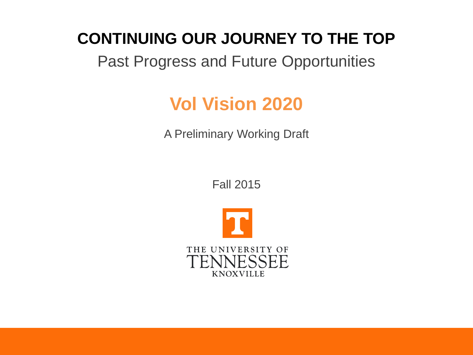#### **CONTINUING OUR JOURNEY TO THE TOP**

#### Past Progress and Future Opportunities

# **Vol Vision 2020**

A Preliminary Working Draft

Fall 2015

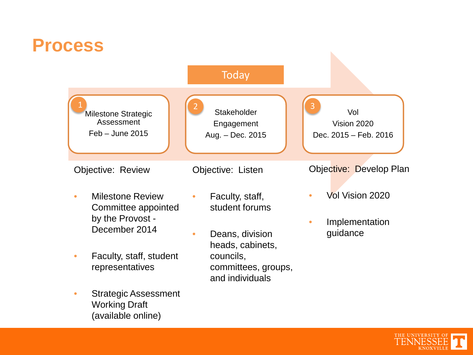#### **Process**



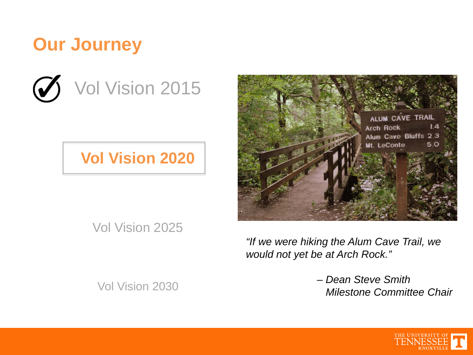## **Our Journey**



#### **Vol Vision 2020**



Vol Vision 2025

*"If we were hiking the Alum Cave Trail, we would not yet be at Arch Rock."* 

Vol Vision 2030

*– Dean Steve Smith Milestone Committee Chair*

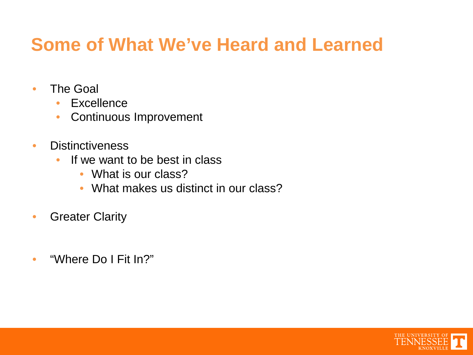## **Some of What We've Heard and Learned**

- The Goal
	- Excellence
	- Continuous Improvement
- Distinctiveness
	- If we want to be best in class
		- What is our class?
		- What makes us distinct in our class?
- **Greater Clarity**
- "Where Do I Fit In?"

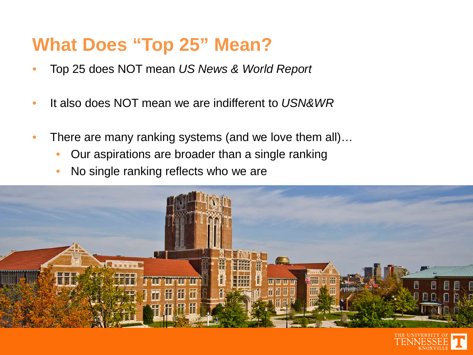## **What Does "Top 25" Mean?**

- Top 25 does NOT mean *US News & World Report*
- It also does NOT mean we are indifferent to *USN&WR*
- There are many ranking systems (and we love them all)...
	- Our aspirations are broader than a single ranking
	- No single ranking reflects who we are



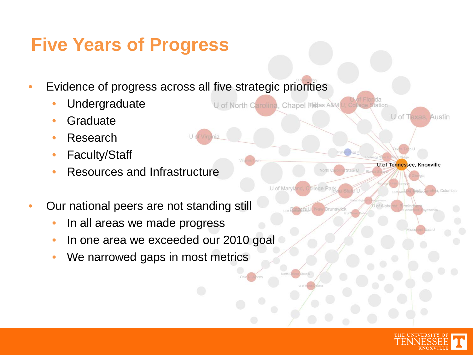# **Five Years of Progress**

• Evidence of progress across all five strategic priorities

U of North Carolina, Chapel Hittas A&M U, Cole

- **Undergraduate**
- **Graduate**
- **Research**
- Faculty/Staff
- Resources and Infrastructure
- Our national peers are not standing still
	- In all areas we made progress
	- In one area we exceeded our 2010 goal
	- We narrowed gaps in most metrics



U of Texas, Austin

U of Tennessee, Knoxville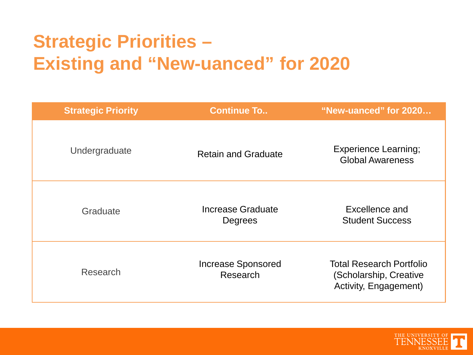# **Strategic Priorities – Existing and "New-uanced" for 2020**

| <b>Strategic Priority</b> | <b>Continue To</b>                    | "New-uanced" for 2020                                                              |
|---------------------------|---------------------------------------|------------------------------------------------------------------------------------|
| Undergraduate             | <b>Retain and Graduate</b>            | <b>Experience Learning;</b><br><b>Global Awareness</b>                             |
| Graduate                  | Increase Graduate<br>Degrees          | Excellence and<br><b>Student Success</b>                                           |
| Research                  | <b>Increase Sponsored</b><br>Research | <b>Total Research Portfolio</b><br>(Scholarship, Creative<br>Activity, Engagement) |

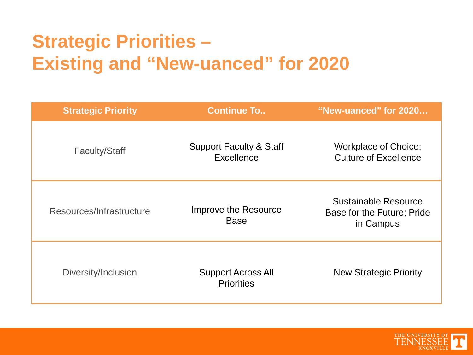# **Strategic Priorities – Existing and "New-uanced" for 2020**

| <b>Strategic Priority</b> | <b>Continue To</b>                               | "New-uanced" for 2020                                                  |
|---------------------------|--------------------------------------------------|------------------------------------------------------------------------|
| <b>Faculty/Staff</b>      | <b>Support Faculty &amp; Staff</b><br>Excellence | <b>Workplace of Choice;</b><br><b>Culture of Excellence</b>            |
| Resources/Infrastructure  | Improve the Resource<br><b>Base</b>              | <b>Sustainable Resource</b><br>Base for the Future; Pride<br>in Campus |
| Diversity/Inclusion       | <b>Support Across All</b><br><b>Priorities</b>   | <b>New Strategic Priority</b>                                          |